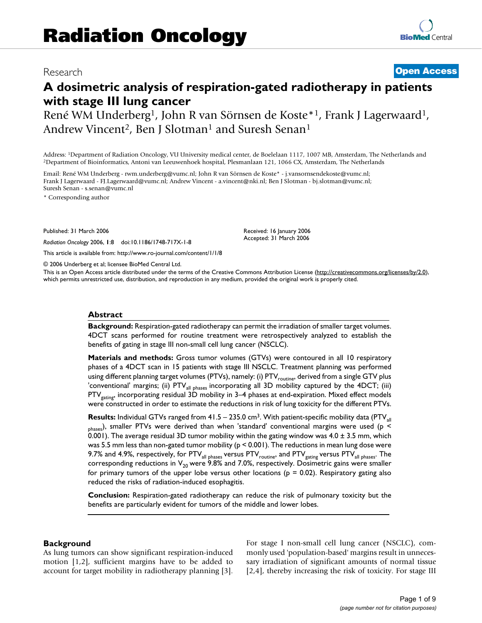# Research **[Open Access](http://www.biomedcentral.com/info/about/charter/)**

# **A dosimetric analysis of respiration-gated radiotherapy in patients with stage III lung cancer**

René WM Underberg1, John R van Sörnsen de Koste\*1, Frank J Lagerwaard1, Andrew Vincent<sup>2</sup>, Ben J Slotman<sup>1</sup> and Suresh Senan<sup>1</sup>

Address: <sup>1</sup>Department of Radiation Oncology, VU University medical center, de Boelelaan 1117, 1007 MB, Amsterdam, The Netherlands and <sup>2</sup>Department of Bioinformatics, Antoni van Leeuwenhoek hospital, Plesmanlaan 121, 1066

Email: René WM Underberg - rwm.underberg@vumc.nl; John R van Sörnsen de Koste\* - j.vansornsendekoste@vumc.nl; Frank J Lagerwaard - FJ.Lagerwaard@vumc.nl; Andrew Vincent - a.vincent@nki.nl; Ben J Slotman - bj.slotman@vumc.nl; Suresh Senan - s.senan@vumc.nl

\* Corresponding author

Published: 31 March 2006

*Radiation Oncology* 2006, **1**:8 doi:10.1186/1748-717X-1-8

[This article is available from: http://www.ro-journal.com/content/1/1/8](http://www.ro-journal.com/content/1/1/8)

© 2006 Underberg et al; licensee BioMed Central Ltd.

This is an Open Access article distributed under the terms of the Creative Commons Attribution License [\(http://creativecommons.org/licenses/by/2.0\)](http://creativecommons.org/licenses/by/2.0), which permits unrestricted use, distribution, and reproduction in any medium, provided the original work is properly cited.

Received: 16 January 2006 Accepted: 31 March 2006

#### **Abstract**

**Background:** Respiration-gated radiotherapy can permit the irradiation of smaller target volumes. 4DCT scans performed for routine treatment were retrospectively analyzed to establish the benefits of gating in stage III non-small cell lung cancer (NSCLC).

**Materials and methods:** Gross tumor volumes (GTVs) were contoured in all 10 respiratory phases of a 4DCT scan in 15 patients with stage III NSCLC. Treatment planning was performed using different planning target volumes (PTVs), namely: (i) PTV<sub>routine</sub>, derived from a single GTV plus 'conventional' margins; (ii)  $PTV_{all\ phase}$  incorporating all 3D mobility captured by the 4DCT; (iii) PTV<sub>gating</sub>, incorporating residual 3D mobility in 3–4 phases at end-expiration. Mixed effect models were constructed in order to estimate the reductions in risk of lung toxicity for the different PTVs.

**Results:** Individual GTVs ranged from 41.5 – 235.0 cm<sup>3</sup>. With patient-specific mobility data (PTV<sub>all</sub>) phases), smaller PTVs were derived than when 'standard' conventional margins were used (p < 0.001). The average residual 3D tumor mobility within the gating window was 4.0 ± 3.5 mm, which was 5.5 mm less than non-gated tumor mobility (p < 0.001). The reductions in mean lung dose were 9.7% and 4.9%, respectively, for PTV<sub>all phases</sub> versus PTV<sub>routine</sub>, and PTV<sub>gating</sub> versus PTV<sub>all phases</sub>. The corresponding reductions in  $V_{20}$  were 9.8% and 7.0%, respectively. Dosimetric gains were smaller for primary tumors of the upper lobe versus other locations ( $p = 0.02$ ). Respiratory gating also reduced the risks of radiation-induced esophagitis.

**Conclusion:** Respiration-gated radiotherapy can reduce the risk of pulmonary toxicity but the benefits are particularly evident for tumors of the middle and lower lobes.

## **Background**

As lung tumors can show significant respiration-induced motion [1,2], sufficient margins have to be added to account for target mobility in radiotherapy planning [3]. For stage I non-small cell lung cancer (NSCLC), commonly used 'population-based' margins result in unnecessary irradiation of significant amounts of normal tissue [2,4], thereby increasing the risk of toxicity. For stage III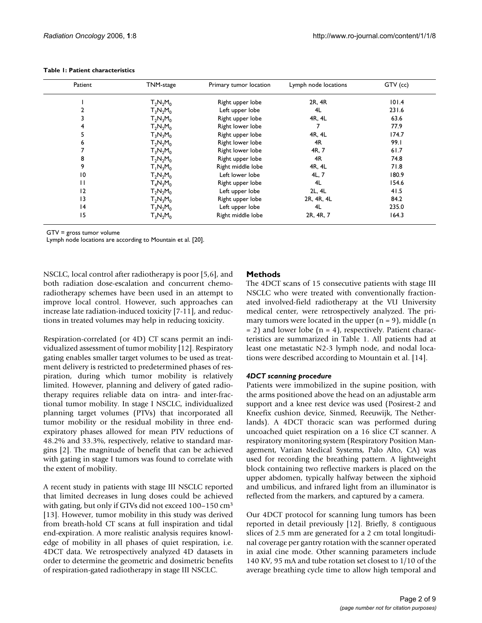| Patient         | <b>TNM-stage</b> | Primary tumor location | Lymph node locations | GTV (cc) |
|-----------------|------------------|------------------------|----------------------|----------|
|                 | $T_2N_2M_0$      | Right upper lobe       | 2R, 4R               | 101.4    |
|                 | $T_3N_2M_0$      | Left upper lobe        | 4L                   | 231.6    |
|                 | $T_2N_3M_0$      | Right upper lobe       | 4R, 4L               | 63.6     |
|                 | $T_2N_2M_0$      | Right lower lobe       | 7                    | 77.9     |
|                 | $T_3N_3M_0$      | Right upper lobe       | 4R, 4L               | 174.7    |
| ь               | $T_2N_2M_0$      | Right lower lobe       | 4R                   | 99.1     |
|                 | $T_3N_2M_0$      | Right lower lobe       | 4R, 7                | 61.7     |
| 8               | $T_2N_2M_0$      | Right upper lobe       | 4R                   | 74.8     |
| 9               | $T_1N_3M_0$      | Right middle lobe      | 4R, 4L               | 71.8     |
| $\overline{10}$ | $T_2N_2M_0$      | Left lower lobe        | 4L, 7                | 180.9    |
| П               | $T_4N_3M_0$      | Right upper lobe       | 4L                   | 154.6    |
| 12              | $T_2N_2M_0$      | Left upper lobe        | 2L, 4L               | 41.5     |
| 3               | $T_2N_3M_0$      | Right upper lobe       | 2R, 4R, 4L           | 84.2     |
| 4               | $T_3N_2M_0$      | Left upper lobe        | 4L                   | 235.0    |
| 15              | $T_3N_2M_0$      | Right middle lobe      | 2R, 4R, 7            | 164.3    |

#### **Table 1: Patient characteristics**

GTV = gross tumor volume

Lymph node locations are according to Mountain et al. [20].

NSCLC, local control after radiotherapy is poor [5,6], and both radiation dose-escalation and concurrent chemoradiotherapy schemes have been used in an attempt to improve local control. However, such approaches can increase late radiation-induced toxicity [7-11], and reductions in treated volumes may help in reducing toxicity.

Respiration-correlated (or 4D) CT scans permit an individualized assessment of tumor mobility [12]. Respiratory gating enables smaller target volumes to be used as treatment delivery is restricted to predetermined phases of respiration, during which tumor mobility is relatively limited. However, planning and delivery of gated radiotherapy requires reliable data on intra- and inter-fractional tumor mobility. In stage I NSCLC, individualized planning target volumes (PTVs) that incorporated all tumor mobility or the residual mobility in three endexpiratory phases allowed for mean PTV reductions of 48.2% and 33.3%, respectively, relative to standard margins [2]. The magnitude of benefit that can be achieved with gating in stage I tumors was found to correlate with the extent of mobility.

A recent study in patients with stage III NSCLC reported that limited decreases in lung doses could be achieved with gating, but only if GTVs did not exceed 100–150 cm3 [13]. However, tumor mobility in this study was derived from breath-hold CT scans at full inspiration and tidal end-expiration. A more realistic analysis requires knowledge of mobility in all phases of quiet respiration, i.e. 4DCT data. We retrospectively analyzed 4D datasets in order to determine the geometric and dosimetric benefits of respiration-gated radiotherapy in stage III NSCLC.

# **Methods**

The 4DCT scans of 15 consecutive patients with stage III NSCLC who were treated with conventionally fractionated involved-field radiotherapy at the VU University medical center, were retrospectively analyzed. The primary tumors were located in the upper  $(n = 9)$ , middle  $(n = 1)$  $= 2$ ) and lower lobe (n  $= 4$ ), respectively. Patient characteristics are summarized in Table 1. All patients had at least one metastatic N2-3 lymph node, and nodal locations were described according to Mountain et al. [14].

## *4DCT scanning procedure*

Patients were immobilized in the supine position, with the arms positioned above the head on an adjustable arm support and a knee rest device was used (Posirest-2 and Kneefix cushion device, Sinmed, Reeuwijk, The Netherlands). A 4DCT thoracic scan was performed during uncoached quiet respiration on a 16 slice CT scanner. A respiratory monitoring system (Respiratory Position Management, Varian Medical Systems, Palo Alto, CA) was used for recording the breathing pattern. A lightweight block containing two reflective markers is placed on the upper abdomen, typically halfway between the xiphoid and umbilicus, and infrared light from an illuminator is reflected from the markers, and captured by a camera.

Our 4DCT protocol for scanning lung tumors has been reported in detail previously [12]. Briefly, 8 contiguous slices of 2.5 mm are generated for a 2 cm total longitudinal coverage per gantry rotation with the scanner operated in axial cine mode. Other scanning parameters include 140 KV, 95 mA and tube rotation set closest to 1/10 of the average breathing cycle time to allow high temporal and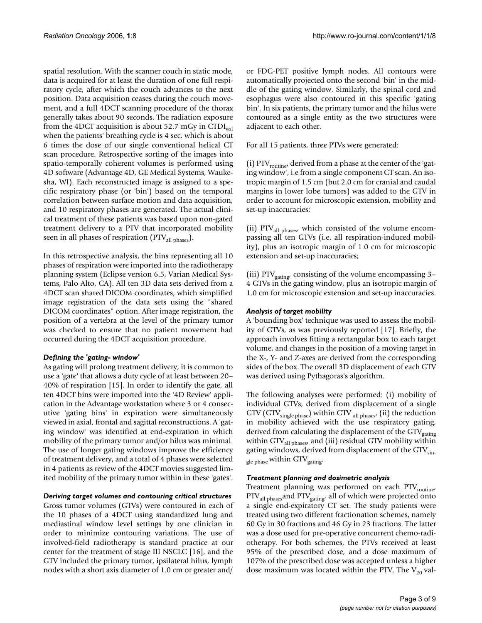spatial resolution. With the scanner couch in static mode, data is acquired for at least the duration of one full respiratory cycle, after which the couch advances to the next position. Data acquisition ceases during the couch movement, and a full 4DCT scanning procedure of the thorax generally takes about 90 seconds. The radiation exposure from the 4DCT acquisition is about 52.7 mGy in  $\text{CTDI}_{\text{vol}}$ when the patients' breathing cycle is 4 sec, which is about 6 times the dose of our single conventional helical CT scan procedure. Retrospective sorting of the images into spatio-temporally coherent volumes is performed using 4D software (Advantage 4D, GE Medical Systems, Waukesha, WI). Each reconstructed image is assigned to a specific respiratory phase (or 'bin') based on the temporal correlation between surface motion and data acquisition, and 10 respiratory phases are generated. The actual clinical treatment of these patients was based upon non-gated treatment delivery to a PTV that incorporated mobility seen in all phases of respiration ( $PTV_{all \; phases}$ ).

In this retrospective analysis, the bins representing all 10 phases of respiration were imported into the radiotherapy planning system (Eclipse version 6.5, Varian Medical Systems, Palo Alto, CA). All ten 3D data sets derived from a 4DCT scan shared DICOM coordinates, which simplified image registration of the data sets using the "shared DICOM coordinates" option. After image registration, the position of a vertebra at the level of the primary tumor was checked to ensure that no patient movement had occurred during the 4DCT acquisition procedure.

#### *Defining the 'gating- window'*

As gating will prolong treatment delivery, it is common to use a 'gate' that allows a duty cycle of at least between 20– 40% of respiration [15]. In order to identify the gate, all ten 4DCT bins were imported into the '4D Review' application in the Advantage workstation where 3 or 4 consecutive 'gating bins' in expiration were simultaneously viewed in axial, frontal and sagittal reconstructions. A 'gating window' was identified at end-expiration in which mobility of the primary tumor and/or hilus was minimal. The use of longer gating windows improve the efficiency of treatment delivery, and a total of 4 phases were selected in 4 patients as review of the 4DCT movies suggested limited mobility of the primary tumor within in these 'gates'.

#### *Deriving target volumes and contouring critical structures*

Gross tumor volumes (GTVs) were contoured in each of the 10 phases of a 4DCT using standardized lung and mediastinal window level settings by one clinician in order to minimize contouring variations. The use of involved-field radiotherapy is standard practice at our center for the treatment of stage III NSCLC [16], and the GTV included the primary tumor, ipsilateral hilus, lymph nodes with a short axis diameter of 1.0 cm or greater and/

or FDG-PET positive lymph nodes. All contours were automatically projected onto the second 'bin' in the middle of the gating window. Similarly, the spinal cord and esophagus were also contoured in this specific 'gating bin'. In six patients, the primary tumor and the hilus were contoured as a single entity as the two structures were adjacent to each other.

For all 15 patients, three PTVs were generated:

(i)  $PTV_{\text{routine}}$ , derived from a phase at the center of the 'gating window', i.e from a single component CT scan. An isotropic margin of 1.5 cm (but 2.0 cm for cranial and caudal margins in lower lobe tumors) was added to the GTV in order to account for microscopic extension, mobility and set-up inaccuracies;

(ii) PTV<sub>all phases</sub>, which consisted of the volume encompassing all ten GTVs (i.e. all respiration-induced mobility), plus an isotropic margin of 1.0 cm for microscopic extension and set-up inaccuracies;

(iii)  $PTV<sub>gating</sub>$  consisting of the volume encompassing 3-4 GTVs in the gating window, plus an isotropic margin of 1.0 cm for microscopic extension and set-up inaccuracies.

#### *Analysis of target mobility*

A 'bounding box' technique was used to assess the mobility of GTVs, as was previously reported [17]. Briefly, the approach involves fitting a rectangular box to each target volume, and changes in the position of a moving target in the X-, Y- and Z-axes are derived from the corresponding sides of the box. The overall 3D displacement of each GTV was derived using Pythagoras's algorithm.

The following analyses were performed: (i) mobility of individual GTVs, derived from displacement of a single GTV (GTV<sub>single phase</sub>) within GTV  $_{all\; phases'}$  (ii) the reduction in mobility achieved with the use respiratory gating, derived from calculating the displacement of the GTV<sub>gating</sub> within GTV<sub>all phases</sub>, and (iii) residual GTV mobility within gating windows, derived from displacement of the  $GTV_{sin}$ gle phase within GTV<sub>gating</sub>.

## *Treatment planning and dosimetric analysis*

Treatment planning was performed on each PTV<sub>routine</sub>, PTV<sub>all phases</sub>and PTV<sub>gating</sub>, all of which were projected onto a single end-expiratory CT set. The study patients were treated using two different fractionation schemes, namely 60 Gy in 30 fractions and 46 Gy in 23 fractions. The latter was a dose used for pre-operative concurrent chemo-radiotherapy. For both schemes, the PTVs received at least 95% of the prescribed dose, and a dose maximum of 107% of the prescribed dose was accepted unless a higher dose maximum was located within the PTV. The  $V_{20}$  val-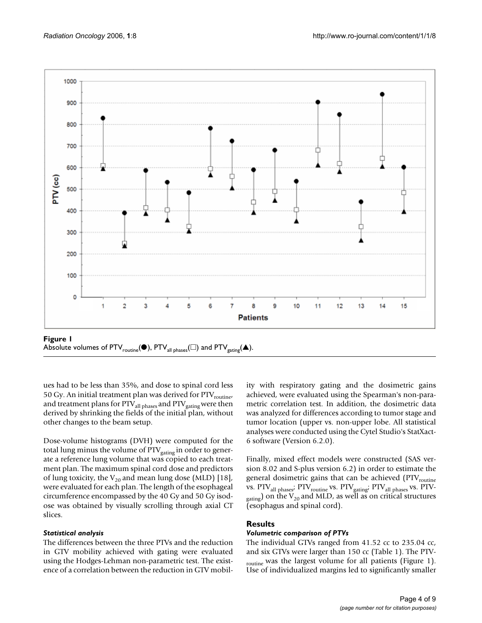

Absolute volumes of PTV<sub>routine</sub>( $\bullet$ ), PTV<sub>all phases</sub>( $\square$ ) and PTV<sub>gating</sub>( $\blacktriangle$ ).

ues had to be less than 35%, and dose to spinal cord less 50 Gy. An initial treatment plan was derived for  $PTV_{\text{routine}}$ and treatment plans for  $PTV_{all\,phases}$  and  $PTV_{gating}$  were then derived by shrinking the fields of the initial plan, without other changes to the beam setup.

Dose-volume histograms (DVH) were computed for the total lung minus the volume of  $PTV<sub>gating</sub>$  in order to generate a reference lung volume that was copied to each treatment plan. The maximum spinal cord dose and predictors of lung toxicity, the  $V_{20}$  and mean lung dose (MLD) [18], were evaluated for each plan. The length of the esophageal circumference encompassed by the 40 Gy and 50 Gy isodose was obtained by visually scrolling through axial CT slices.

## *Statistical analysis*

The differences between the three PTVs and the reduction in GTV mobility achieved with gating were evaluated using the Hodges-Lehman non-parametric test. The existence of a correlation between the reduction in GTV mobility with respiratory gating and the dosimetric gains achieved, were evaluated using the Spearman's non-parametric correlation test. In addition, the dosimetric data was analyzed for differences according to tumor stage and tumor location (upper vs. non-upper lobe. All statistical analyses were conducted using the Cytel Studio's StatXact-6 software (Version 6.2.0).

Finally, mixed effect models were constructed (SAS version 8.02 and S-plus version 6.2) in order to estimate the general dosimetric gains that can be achieved (PTV<sub>routine</sub> vs. PTV $_{\rm all~phases'}$  PTV $_{\rm routine}$ vs. PTV $_{\rm gating'}$  PTV $_{\rm all~phases}$ vs. PTV- $_{\rm{gating}}$ ) on the V<sub>20</sub> and MLD, as well as on critical structures (esophagus and spinal cord).

# **Results**

## *Volumetric comparison of PTVs*

The individual GTVs ranged from 41.52 cc to 235.04 cc, and six GTVs were larger than 150 cc (Table 1). The PTVroutine was the largest volume for all patients (Figure 1). Use of individualized margins led to significantly smaller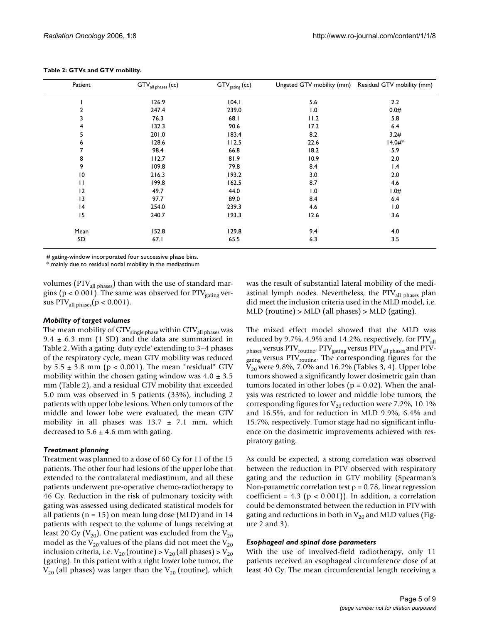| Patient      | GTV <sub>all phases</sub> (cc) | $GTV_{\text{gating}}(cc)$ | Ungated GTV mobility (mm) | Residual GTV mobility (mm) |
|--------------|--------------------------------|---------------------------|---------------------------|----------------------------|
|              | 126.9                          | 104.1                     | 5.6                       | 2.2                        |
|              | 247.4                          | 239.0                     | 1.0                       | 0.0#                       |
|              | 76.3                           | 68.1                      | 11.2                      | 5.8                        |
| 4            | 132.3                          | 90.6                      | 17.3                      | 6.4                        |
| 5            | 201.0                          | 183.4                     | 8.2                       | 3.2#                       |
| 6            | 128.6                          | 112.5                     | 22.6                      | 14.0#                      |
|              | 98.4                           | 66.8                      | 18.2                      | 5.9                        |
| 8            | 112.7                          | 81.9                      | 10.9                      | 2.0                        |
| 9            | 109.8                          | 79.8                      | 8.4                       | 1.4                        |
| 10           | 216.3                          | 193.2                     | 3.0                       | 2.0                        |
| $\mathbf{H}$ | 199.8                          | 162.5                     | 8.7                       | 4.6                        |
| 12           | 49.7                           | 44.0                      | 1.0                       | 1.0#                       |
| 13           | 97.7                           | 89.0                      | 8.4                       | 6.4                        |
| 4            | 254.0                          | 239.3                     | 4.6                       | 1.0                        |
| 15           | 240.7                          | 193.3                     | 12.6                      | 3.6                        |
| Mean         | 152.8                          | 129.8                     | 9.4                       | 4.0                        |
| SD           | 67.1                           | 65.5                      | 6.3                       | 3.5                        |

**Table 2: GTVs and GTV mobility.**

# gating-window incorporated four successive phase bins.

\* mainly due to residual nodal mobility in the mediastinum

volumes ( $PTV_{all\ phases}$ ) than with the use of standard margins ( $p < 0.001$ ). The same was observed for PTV<sub>gating</sub> versus  $PTV_{all\ phases}(p < 0.001)$ .

#### *Mobility of target volumes*

The mean mobility of GTV<sub>single phase</sub> within GTV<sub>all phases</sub> was  $9.4 \pm 6.3$  mm (1 SD) and the data are summarized in Table 2. With a gating 'duty cycle' extending to 3–4 phases of the respiratory cycle, mean GTV mobility was reduced by  $5.5 \pm 3.8$  mm ( $p < 0.001$ ). The mean "residual" GTV mobility within the chosen gating window was  $4.0 \pm 3.5$ mm (Table 2), and a residual GTV mobility that exceeded 5.0 mm was observed in 5 patients (33%), including 2 patients with upper lobe lesions. When only tumors of the middle and lower lobe were evaluated, the mean GTV mobility in all phases was  $13.7 \pm 7.1$  mm, which decreased to  $5.6 \pm 4.6$  mm with gating.

#### *Treatment planning*

Treatment was planned to a dose of 60 Gy for 11 of the 15 patients. The other four had lesions of the upper lobe that extended to the contralateral mediastinum, and all these patients underwent pre-operative chemo-radiotherapy to 46 Gy. Reduction in the risk of pulmonary toxicity with gating was assessed using dedicated statistical models for all patients ( $n = 15$ ) on mean lung dose (MLD) and in 14 patients with respect to the volume of lungs receiving at least 20 Gy ( $V_{20}$ ). One patient was excluded from the  $V_{20}$ model as the  $V_{20}$  values of the plans did not meet the  $V_{20}$ inclusion criteria, i.e.  $V_{20}$  (routine) >  $V_{20}$  (all phases) >  $V_{20}$ (gating). In this patient with a right lower lobe tumor, the  $V_{20}$  (all phases) was larger than the  $V_{20}$  (routine), which

was the result of substantial lateral mobility of the mediastinal lymph nodes. Nevertheless, the  $PTV_{all\ phases}$  plan did meet the inclusion criteria used in the MLD model, i.e.  $MLD$  (routine) >  $MLD$  (all phases) >  $MLD$  (gating).

The mixed effect model showed that the MLD was reduced by 9.7%, 4.9% and 14.2%, respectively, for  $PTV<sub>all</sub>$  $_{\rm phases}$  versus PTV $_{\rm routine'}$  PTV $_{\rm gating}$  versus PTV $_{\rm all~phases}$  and PTV-<sub>gating</sub> versus PTV<sub>routine</sub>. The corresponding figures for the  $V_{20}$  were 9.8%, 7.0% and 16.2% (Tables 3, 4). Upper lobe tumors showed a significantly lower dosimetric gain than tumors located in other lobes ( $p = 0.02$ ). When the analysis was restricted to lower and middle lobe tumors, the corresponding figures for  $V_{20}$  reduction were 7.2%, 10.1% and 16.5%, and for reduction in MLD 9.9%, 6.4% and 15.7%, respectively. Tumor stage had no significant influence on the dosimetric improvements achieved with respiratory gating.

As could be expected, a strong correlation was observed between the reduction in PTV observed with respiratory gating and the reduction in GTV mobility (Spearman's Non-parametric correlation test  $\rho$  = 0.78, linear regression coefficient =  $4.3$  ( $p < 0.001$ )). In addition, a correlation could be demonstrated between the reduction in PTV with gating and reductions in both in  $V_{20}$  and MLD values (Figure 2 and 3).

#### *Esophageal and spinal dose parameters*

With the use of involved-field radiotherapy, only 11 patients received an esophageal circumference dose of at least 40 Gy. The mean circumferential length receiving a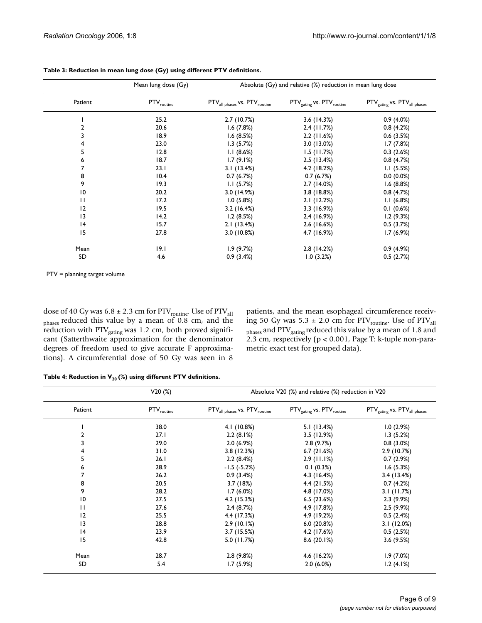|                 | Mean lung dose (Gy)               | Absolute (Gy) and relative (%) reduction in mean lung dose |                                                  |                                                     |
|-----------------|-----------------------------------|------------------------------------------------------------|--------------------------------------------------|-----------------------------------------------------|
| Patient         | $\mathsf{PTV}_{\mathsf{routine}}$ | PTV <sub>all phases</sub> vs. PTV <sub>routine</sub>       | PTV <sub>gating</sub> vs. PTV <sub>routine</sub> | PTV <sub>gating</sub> vs. PTV <sub>all phases</sub> |
|                 | 25.2                              | 2.7(10.7%)                                                 | 3.6(14.3%)                                       | 0.9(4.0%)                                           |
| 2               | 20.6                              | 1.6(7.8%)                                                  | $2.4$ (11.7%)                                    | 0.8(4.2%)                                           |
| 3               | 18.9                              | 1.6(8.5%)                                                  | $2.2$ (11.6%)                                    | 0.6(3.5%)                                           |
| 4               | 23.0                              | 1.3(5.7%)                                                  | 3.0(13.0%)                                       | 1.7(7.8%)                                           |
| 5               | 12.8                              | 1.1(8.6%)                                                  | $1.5$ (11.7%)                                    | 0.3(2.6%)                                           |
| 6               | 18.7                              | 1.7(9.1%)                                                  | 2.5(13.4%)                                       | 0.8(4.7%)                                           |
| 7               | 23.1                              | 3.1(13.4%)                                                 | 4.2 (18.2%)                                      | 1.1(5.5%)                                           |
| 8               | 10.4                              | 0.7(6.7%)                                                  | 0.7(6.7%)                                        | $0.0(0.0\%)$                                        |
| 9               | 19.3                              | 1.1(5.7%)                                                  | 2.7(14.0%)                                       | 1.6(8.8%)                                           |
| $\overline{10}$ | 20.2                              | 3.0(14.9%)                                                 | 3.8 (18.8%)                                      | 0.8(4.7%)                                           |
| $\mathbf{H}$    | 17.2                              | 1.0(5.8%)                                                  | 2.1(12.2%)                                       | 1.1(6.8%)                                           |
| 12              | 19.5                              | 3.2(16.4%)                                                 | 3.3(16.9%)                                       | 0.1(0.6%)                                           |
| 13              | 14.2                              | 1.2(8.5%)                                                  | 2.4(16.9%)                                       | 1.2(9.3%)                                           |
| 4               | 15.7                              | 2.1(13.4%)                                                 | 2.6(16.6%)                                       | 0.5(3.7%)                                           |
| 15              | 27.8                              | 3.0 (10.8%)                                                | 4.7(16.9%)                                       | 1.7(6.9%)                                           |
| Mean            | 9.1                               | 1.9(9.7%)                                                  | 2.8(14.2%)                                       | 0.9(4.9%)                                           |
| SD              | 4.6                               | 0.9(3.4%)                                                  | 1.0(3.2%)                                        | 0.5(2.7%)                                           |

**Table 3: Reduction in mean lung dose (Gy) using different PTV definitions.**

PTV = planning target volume

dose of 40 Gy was  $6.8 \pm 2.3$  cm for PTV<sub>routine</sub>. Use of PTV<sub>all</sub> phases reduced this value by a mean of 0.8 cm, and the reduction with  $PTV_{gating}$  was 1.2 cm, both proved significant (Satterthwaite approximation for the denominator degrees of freedom used to give accurate F approximations). A circumferential dose of 50 Gy was seen in 8

patients, and the mean esophageal circumference receiving 50 Gy was 5.3  $\pm$  2.0 cm for PTV<sub>routine</sub>. Use of PTV<sub>all</sub>  $_{\rm phases}$  and PTV $_{\rm gating}$  reduced this value by a mean of 1.8 and 2.3 cm, respectively (p < 0.001, Page T: k-tuple non-parametric exact test for grouped data).

| Table 4: Reduction in $V_{20}$ (%) using different PTV definitions. |  |
|---------------------------------------------------------------------|--|
|---------------------------------------------------------------------|--|

|                 | V20(%)                          | Absolute V20 (%) and relative (%) reduction in V20 |                                                  |                                                     |
|-----------------|---------------------------------|----------------------------------------------------|--------------------------------------------------|-----------------------------------------------------|
| Patient         | $\mathsf{PTV}_\mathsf{routine}$ | $PTV_{all \; phases}$ vs. $PTV_{routine}$          | PTV <sub>gating</sub> vs. PTV <sub>routine</sub> | PTV <sub>gating</sub> vs. PTV <sub>all phases</sub> |
|                 | 38.0                            | 4.1 (10.8%)                                        | 5.1(13.4%)                                       | 1.0(2.9%)                                           |
| 2               | 27.1                            | 2.2(8.1%)                                          | 3.5(12.9%)                                       | 1.3(5.2%)                                           |
| 3               | 29.0                            | 2.0(6.9%)                                          | 2.8(9.7%)                                        | 0.8(3.0%)                                           |
| 4               | 31.0                            | 3.8(12.3%)                                         | 6.7(21.6%)                                       | 2.9 (10.7%)                                         |
| 5               | 26.1                            | 2.2(8.4%)                                          | $2.9$ (11.1%)                                    | 0.7(2.9%)                                           |
| 6               | 28.9                            | $-1.5$ ( $-5.2%$ )                                 | 0.1(0.3%)                                        | 1.6(5.3%)                                           |
| 7               | 26.2                            | 0.9(3.4%)                                          | 4.3(16.4%)                                       | 3.4(13.4%)                                          |
| 8               | 20.5                            | 3.7(18%)                                           | 4.4(21.5%)                                       | 0.7(4.2%)                                           |
| 9               | 28.2                            | 1.7(6.0%)                                          | 4.8 (17.0%)                                      | 3.1(11.7%)                                          |
| $\overline{10}$ | 27.5                            | 4.2 (15.3%)                                        | 6.5(23.6%)                                       | 2.3(9.9%)                                           |
| $\mathbf{H}$    | 27.6                            | 2.4(8.7%)                                          | 4.9 (17.8%)                                      | 2.5(9.9%)                                           |
| 12              | 25.5                            | 4.4 (17.3%)                                        | 4.9 (19.2%)                                      | 0.5(2.4%)                                           |
| 13              | 28.8                            | 2.9(10.1%)                                         | 6.0(20.8%)                                       | 3.1(12.0%)                                          |
| 4               | 23.9                            | 3.7(15.5%)                                         | 4.2 (17.6%)                                      | 0.5(2.5%)                                           |
| 15              | 42.8                            | 5.0 (11.7%)                                        | 8.6(20.1%)                                       | 3.6(9.5%)                                           |
| Mean            | 28.7                            | 2.8(9.8%)                                          | 4.6(16.2%)                                       | 1.9(7.0%)                                           |
| SD              | 5.4                             | 1.7(5.9%)                                          | $2.0(6.0\%)$                                     | 1.2(4.1%)                                           |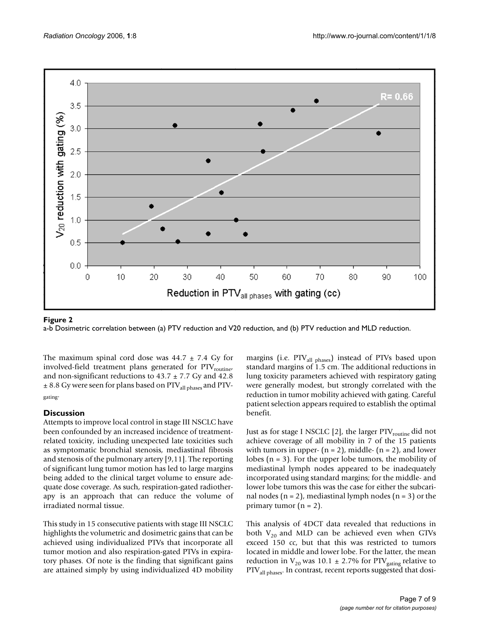

a-b Dosimetric correlation between (a) PTV reduction and V20 reduction, and (b) PTV reduction and MLD reduction.

The maximum spinal cord dose was  $44.7 \pm 7.4$  Gy for involved-field treatment plans generated for  $PTV_{\text{routine}}$ and non-significant reductions to  $43.7 \pm 7.7$  Gy and  $42.8$  $\pm$  8.8 Gy were seen for plans based on PTV<sub>all phases</sub> and PTVgating.

# **Discussion**

Attempts to improve local control in stage III NSCLC have been confounded by an increased incidence of treatmentrelated toxicity, including unexpected late toxicities such as symptomatic bronchial stenosis, mediastinal fibrosis and stenosis of the pulmonary artery [9,11]. The reporting of significant lung tumor motion has led to large margins being added to the clinical target volume to ensure adequate dose coverage. As such, respiration-gated radiotherapy is an approach that can reduce the volume of irradiated normal tissue.

This study in 15 consecutive patients with stage III NSCLC highlights the volumetric and dosimetric gains that can be achieved using individualized PTVs that incorporate all tumor motion and also respiration-gated PTVs in expiratory phases. Of note is the finding that significant gains are attained simply by using individualized 4D mobility

margins (i.e. PTV<sub>all phases</sub>) instead of PTVs based upon standard margins of 1.5 cm. The additional reductions in lung toxicity parameters achieved with respiratory gating were generally modest, but strongly correlated with the reduction in tumor mobility achieved with gating. Careful patient selection appears required to establish the optimal benefit.

Just as for stage I NSCLC  $[2]$ , the larger  $PTV_{\text{routine}}$  did not achieve coverage of all mobility in 7 of the 15 patients with tumors in upper-  $(n = 2)$ , middle-  $(n = 2)$ , and lower lobes  $(n = 3)$ . For the upper lobe tumors, the mobility of mediastinal lymph nodes appeared to be inadequately incorporated using standard margins; for the middle- and lower lobe tumors this was the case for either the subcarinal nodes ( $n = 2$ ), mediastinal lymph nodes ( $n = 3$ ) or the primary tumor  $(n = 2)$ .

This analysis of 4DCT data revealed that reductions in both  $V_{20}$  and MLD can be achieved even when GTVs exceed 150 cc, but that this was restricted to tumors located in middle and lower lobe. For the latter, the mean reduction in  $V_{20}$  was 10.1  $\pm$  2.7% for PTV<sub>gating</sub> relative to PTV<sub>all phases</sub>. In contrast, recent reports suggested that dosi-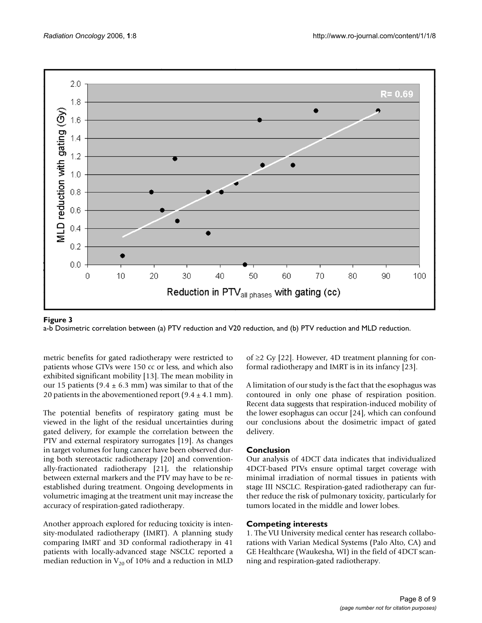

a-b Dosimetric correlation between (a) PTV reduction and V20 reduction, and (b) PTV reduction and MLD reduction.

metric benefits for gated radiotherapy were restricted to patients whose GTVs were 150 cc or less, and which also exhibited significant mobility [13]. The mean mobility in our 15 patients (9.4  $\pm$  6.3 mm) was similar to that of the 20 patients in the abovementioned report  $(9.4 \pm 4.1 \text{ mm})$ .

The potential benefits of respiratory gating must be viewed in the light of the residual uncertainties during gated delivery, for example the correlation between the PTV and external respiratory surrogates [19]. As changes in target volumes for lung cancer have been observed during both stereotactic radiotherapy [20] and conventionally-fractionated radiotherapy [21], the relationship between external markers and the PTV may have to be reestablished during treatment. Ongoing developments in volumetric imaging at the treatment unit may increase the accuracy of respiration-gated radiotherapy.

Another approach explored for reducing toxicity is intensity-modulated radiotherapy (IMRT). A planning study comparing IMRT and 3D conformal radiotherapy in 41 patients with locally-advanced stage NSCLC reported a median reduction in  $V_{20}$  of 10% and a reduction in MLD

of ≥2 Gy [22]. However, 4D treatment planning for conformal radiotherapy and IMRT is in its infancy [23].

A limitation of our study is the fact that the esophagus was contoured in only one phase of respiration position. Recent data suggests that respiration-induced mobility of the lower esophagus can occur [24], which can confound our conclusions about the dosimetric impact of gated delivery.

# **Conclusion**

Our analysis of 4DCT data indicates that individualized 4DCT-based PTVs ensure optimal target coverage with minimal irradiation of normal tissues in patients with stage III NSCLC. Respiration-gated radiotherapy can further reduce the risk of pulmonary toxicity, particularly for tumors located in the middle and lower lobes.

# **Competing interests**

1. The VU University medical center has research collaborations with Varian Medical Systems (Palo Alto, CA) and GE Healthcare (Waukesha, WI) in the field of 4DCT scanning and respiration-gated radiotherapy.